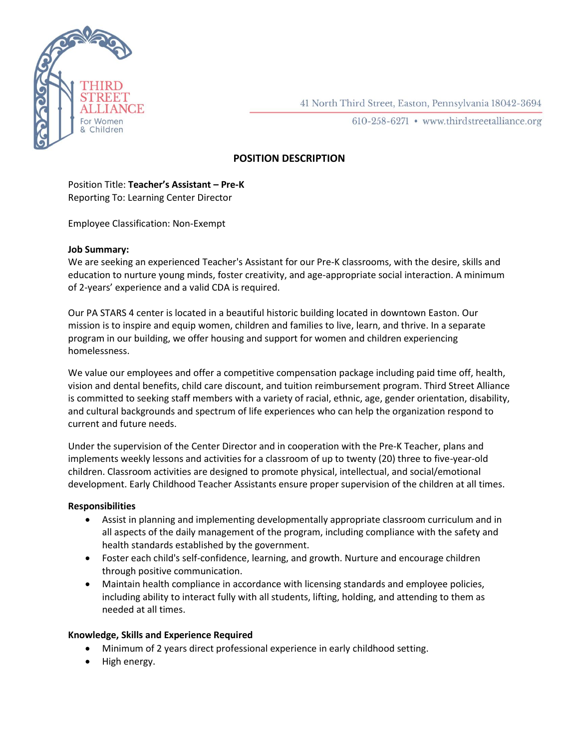

41 North Third Street, Easton, Pennsylvania 18042-3694

610-258-6271 • www.thirdstreetalliance.org

# **POSITION DESCRIPTION**

## Position Title: **Teacher's Assistant – Pre-K** Reporting To: Learning Center Director

Employee Classification: Non-Exempt

#### **Job Summary:**

We are seeking an experienced Teacher's Assistant for our Pre-K classrooms, with the desire, skills and education to nurture young minds, foster creativity, and age-appropriate social interaction. A minimum of 2-years' experience and a valid CDA is required.

Our PA STARS 4 center is located in a beautiful historic building located in downtown Easton. Our mission is to inspire and equip women, children and families to live, learn, and thrive. In a separate program in our building, we offer housing and support for women and children experiencing homelessness.

We value our employees and offer a competitive compensation package including paid time off, health, vision and dental benefits, child care discount, and tuition reimbursement program. Third Street Alliance is committed to seeking staff members with a variety of racial, ethnic, age, gender orientation, disability, and cultural backgrounds and spectrum of life experiences who can help the organization respond to current and future needs.

Under the supervision of the Center Director and in cooperation with the Pre-K Teacher, plans and implements weekly lessons and activities for a classroom of up to twenty (20) three to five-year-old children. Classroom activities are designed to promote physical, intellectual, and social/emotional development. Early Childhood Teacher Assistants ensure proper supervision of the children at all times.

## **Responsibilities**

- Assist in planning and implementing developmentally appropriate classroom curriculum and in all aspects of the daily management of the program, including compliance with the safety and health standards established by the government.
- Foster each child's self-confidence, learning, and growth. Nurture and encourage children through positive communication.
- Maintain health compliance in accordance with licensing standards and employee policies, including ability to interact fully with all students, lifting, holding, and attending to them as needed at all times.

## **Knowledge, Skills and Experience Required**

- Minimum of 2 years direct professional experience in early childhood setting.
- High energy.